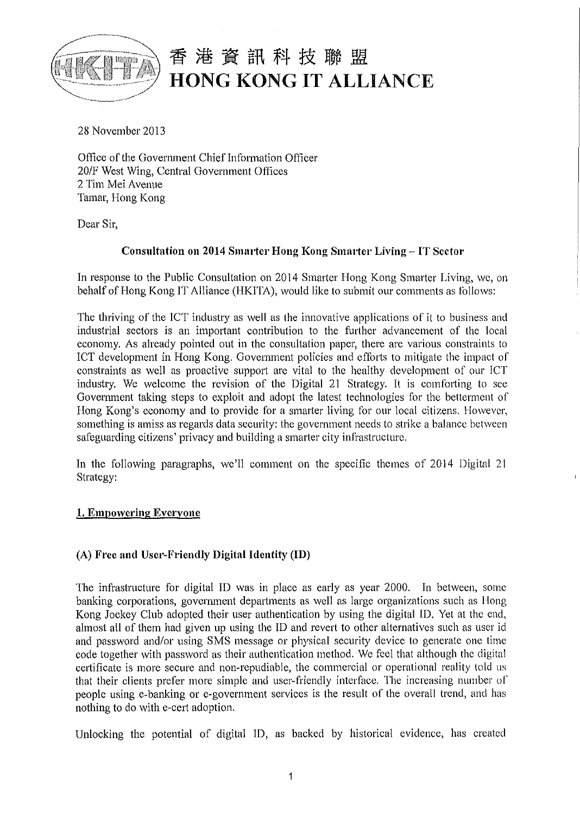

28 November 2013

Office of the Government Chief Information Officer 20/F West Wing, Central Government Offices 2 Tim Mei Avenue Tamar, Hong Kong

Dear Sir,

# **Consultation on 2014 Smarter Hong Kong Smarter Living - IT Sector**

In response to the Public Consultation on 2014 Smarter Hong Kong Smarter Living, we, on behalf of Hong Kong IT Alliance (HKITA), would like to submit our comments as follows:

The thriving of the lCT industry as well as the innovative applications of it to business and industrial sectors is an important contribution to the further advancement of the local economy. As already pointed out in the consultation paper, there are various constraints to ICT development in Hong Kong. Government policies and efforts to mitigate the impact of constraints as well as proactive support are vital to the healthy development of our lCT industry. We welcome the revision of the Digital 21 Strategy. It is comforting to see Government taking steps to exploit and adopt the latest technologies for the betterment of Hong Kong's economy and to provide for a smarter living for our local citizens. However, something is amiss as regards data security: the government needs to strike a balance between safeguarding citizens' privacy and building a smarter city infrastructure.

In the following paragraphs, we'll comment on the specific themes of 2014 Digital 21 Strategy:

## **1. Empowering Everyone**

## **(A) Free and Usc•·-Friendly Digital Identity (ID)**

The infrastructure for digital ID was in place as early as year 2000. In between, some banking corporations, government departments as well as large organizations such as Hong Kong Jockey Club adopted their user authentication by using the digital ID. Yet at the end, almost all of them had given up using the ID and revert to other alternatives such as user id and password and/or using SMS message or physical security device to generate one time code together with password as their authentication method. We feel that although the digital certificate is more secure and non-repudiable, the commercial or operational reality told us that their clients prefer more simple and user-friendly interface. The increasing number ol' people using e-banking or e-government services is the result of the overall trend, and has nothing to do with e-cert adoption.

Unlocking the potential of digital ID, as backed by historical evidence, has created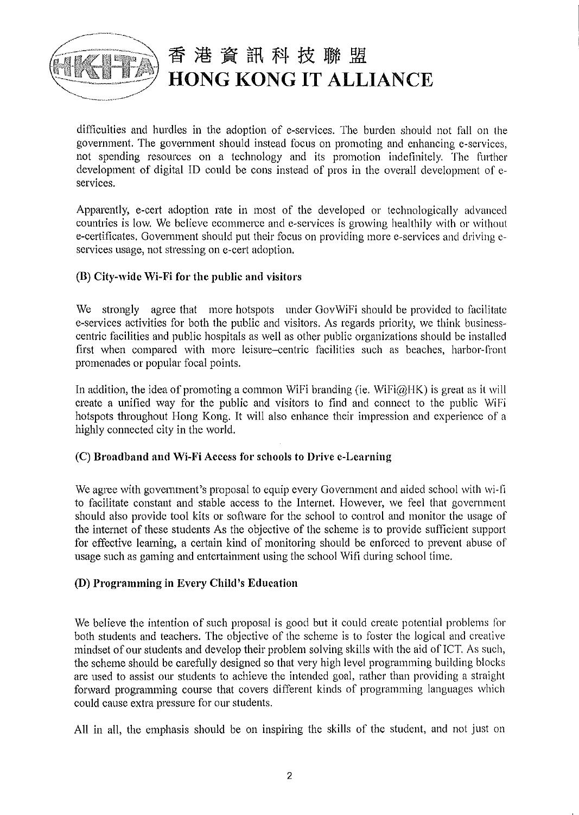

--~-·~·•"'""~<-'...

# 香港資訊科技聯盟 **HONG KONG IT ALLIANCE**

difficulties and hurdles in the adoption of e-services. The burden should not fall on the government. The government should instead focus on promoting and enhancing e-services, not spending resources on a technology and its promotion indefinitely. The further development of digital ID could be cons instead of pros in the overall development of eservices.

Apparently, e-cert adoption rate in most of the developed or technologically advanced countries is low. We believe ecommerce and e-services is growing healthily with or without e-certificates. Government should put their focus on providing more e-serviccs and driving eservices usage, not stressing on e-cert adoption.

# (B) City-wide Wi-Fi for the public and visitors

We strongly agree that more hotspots under GovWiFi should be provided to facilitate e-services activities for both the public and visitors. As regards priority, we think businesscentric facilities and public hospitals as well as other public organizations should be installed first when compared with more leisure-centric facilities such as beaches, harbor-front promenades or popular focal points.

In addition, the idea of promoting a common WiFi branding (ie. WiFi $@HK$ ) is great as it will create a unified way for the public and visitors to find and connect to the public WiFi hotspots throughout Hong Kong. It will also enhance their impression and experience of a highly connected city in the world.

## (C) Broadband and Wi-Fi Access for schools to Drive e-Learning

We agree with government's proposal to equip every Government and aided school with wi-fi to facilitate constant and stable access to the Internet. However, we feel that government should also provide tool kits or software for the school to control and monitor the usage of the internet of these students As the objective of the scheme is to provide sufficient support for effective learning, a certain kind of monitoring should be enforced to prevent abuse of usage such as gaming and entertainment using the school Wifi during school time.

## (D) Programming in Every Child's Education

We believe the intention of such proposal is good but it could create potential problems for both students and teachers. The objective of the scheme is to foster the logical and creative mindset of our students and develop their problem solving skills with the aid of !CT. As such, the scheme should be carefully designed so that very high level programming building blocks are used to assist our students to achieve the intended goal, rather than providing a straight forward programming course that covers different kinds of programming languages which could cause extra pressure for our students.

All in all, the emphasis should be on inspiring the skills of the student, and not just on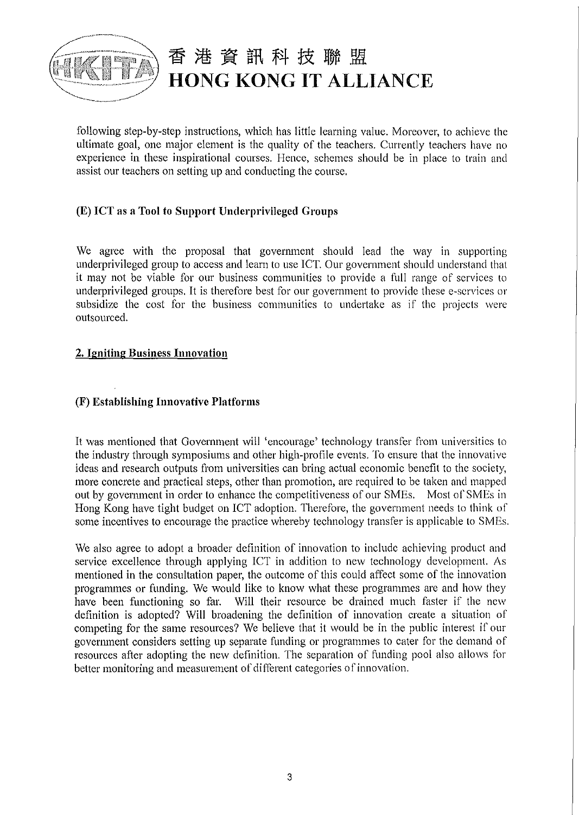

following step-by-step instructions, which has little learning value. Moreover, to achieve the ultimate goal, one major element is the quality of the teachers. Currently teachers have no experience in these inspirational courses. Hence, schemes should be in place to train and assist our teachers on setting up and conducting the course.

# **(E) ICT as a Tool to Support Underprivileged Groups**

We agree with the proposal that government should lead the way in supporting underprivileged group to access and learn to use ICT. Our government should understand that it may not be viable for our business communities to provide a full range of services to underprivileged groups. It is therefore best for our government to provide these e-scrvices or subsidize the cost for the business communities to undertake as if the projects were outsourced.

## **2. Igniting Business Innovation**

# **(F) Establishing Innovative Platforms**

It was mentioned that Government will 'encourage' technology transfer from universities to the industry through symposiums and other high-profile events. To ensure that the innovative ideas and research outputs from universities can bring actual economic benefit to the society, more concrete and practical steps, other than promotion, are required to be taken and mapped out by government in order to enhance the competitiveness of our SMEs. Most of SMEs in Hong Kong have tight budget on ICT adoption. Therefore, the government needs to think of some incentives to encourage the practice whereby technology transfer is applicable to SMEs.

We also agree to adopt a broader definition of innovation to include achieving product and service excellence through applying ICT in addition to new technology development. As mentioned in the consultation paper, the outcome of this could affect some of the innovation programmes or funding. We would like to know what these programmes are and how they have been functioning so far. Will their resource be drained much faster if the new definition is adopted? Will broadening the definition of innovation create a situation of competing for the same resources? We believe that it would be in the public interest if our government considers setting up separate funding or programmes to cater for the demand of resources after adopting the new definition. The separation of funding pool also allows for better monitoring and measurement of different categories of innovation.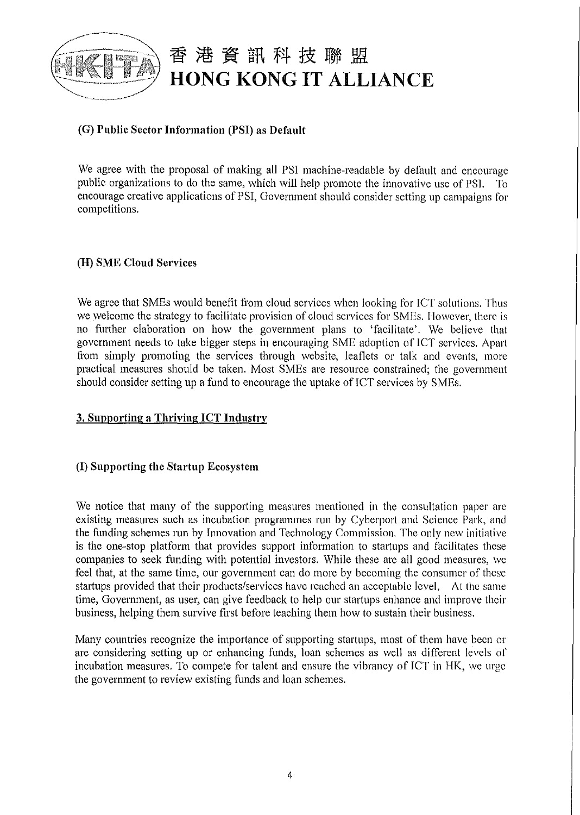

# **(G) Public Sector Information (PSI) as Default**

We agree with the proposal of making all PSI machine-readable by default and encourage public organizations to do the same, which will help promote the innovative use of PSI. To encourage creative applications of PSI, Government should consider setting up campaigns for competitions.

#### **(H) SME Cloud Services**

We agree that SMEs would benefit from cloud services when looking for ICT solutions. Thus we welcome the strategy to facilitate provision of cloud services for SMEs. However, there is no futiher elaboration on how the govermnent plans to 'facilitate'. We believe that government needs to take bigger steps in encouraging SME adoption of ICT services. Apart from simply promoting the services through website, leaflets or talk and events, more practical measures should be taken. Most SMEs are resource constrained; the government should consider setting up a fund to encourage the uptake of ICT services by SMEs.

## **3. Supporting a Thriving ICT Industry**

## **(I) Supporting the Startup Ecosystem**

We notice that many of the supporting measures mentioned in the consultation paper are existing measures such as incubation programmes run by Cyberport and Science Park, and the funding schemes run by Innovation and Technology Commission. The only new initiative is the one-stop platform that provides support information to startups and facilitates these companies to seek fimding with potential investors. While these are all good measures, we feel that, at the same time, our government can do more by becoming the consumer of these startups provided that their products/services have reached an acceptable level. At the same time, Govennnent, as user, can give feedback to help our startups enhance and improve their business, helping them survive first before teaching them how to sustain their business.

Many countries recognize the importance of supporting startups, most of them have been or are considering setting up or enhancing funds, loan schemes as well as different levels of incubation measures. To compete for talent and ensure the vibrancy of ICT in HK, we urge the govermnent to review existing funds and loan schemes.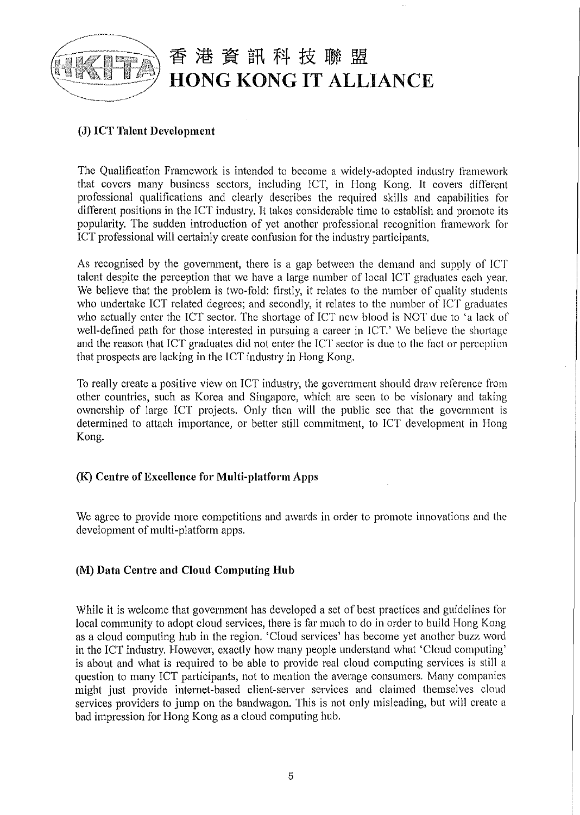

# **(J) ICT Talent Development**

The Qualification Framework is intended to become a widely-adopted industry framework that covers many business sectors, including ICT, in Hong Kong. It covers different professional qualifications and clearly describes the required skills and capabilities for different positions in the ICT industry. It takes considerable time to establish and promote its popularity. The sudden introduction of yet another professional recognition framework for ICT professional will certainly create confusion for the industry participants.

As recognised by the government, there is a gap between the demand and supply of !CT talent despite the perception that we have a large number of local !CT graduates each year. We believe that the problem is two-fold: firstly, it relates to the number of quality students who undertake ICT related degrees; and secondly, it relates to the number of ICT graduates who actually enter the ICT sector. The shortage of ICT new blood is NOT due to 'a lack of well-defined path for those interested in pursuing a career in ICT.' We believe the shortage and the reason that ICT graduates did not enter the ICT sector is due to the fact or perception that prospects are lacking in the ICT industry in Hong Kong.

To really create a positive view on ICT industry, the government should draw reference from other countries, such as Korea and Singapore, which are seen to be visionary and taking ownership of large ICT projects. Only then will the public see that the government is determined to attach importance, or better still commitment, to ICT development in Hong Kong.

## **(K) Centre of Excellence for Multi-platform Apps**

We agree to provide more competitions and awards in order to promote innovations and the development of multi-platform apps.

## **(M) Data Centre and Cloud Computing Hub**

While it is welcome that government has developed a set of best practices and guidelines for local community to adopt cloud services, there is far much to do in order to build Hong Kong as a cloud computing hub in the region. 'Cloud services' has become yet another buzz word in the ICT industry. However, exactly how many people understand what 'Cloud computing' is about and what is required to be able to provide real cloud computing services is still a question to many ICT participants, not to mention the average consumers. Many companies might just provide internet-based client-server services and claimed themselves cloud services providers to jump on the bandwagon. This is not only misleading, but will create a bad impression for Hong Kong as a cloud computing hub.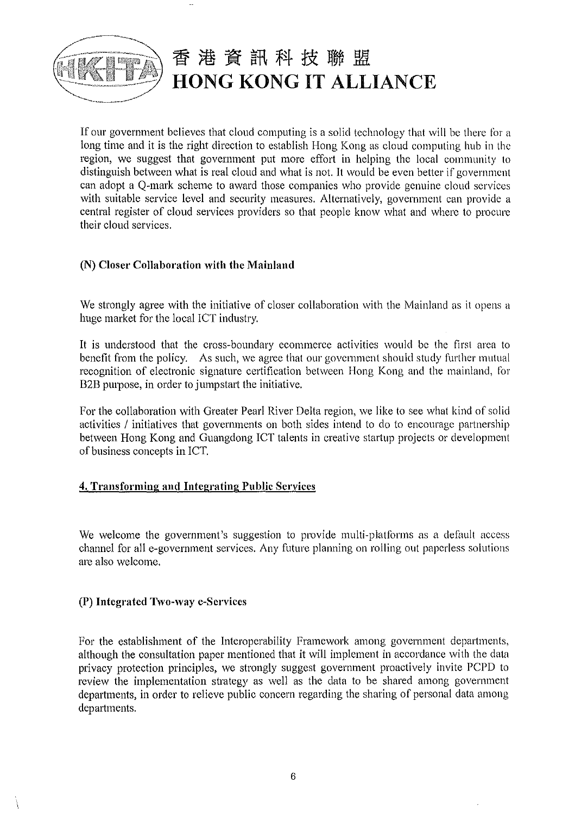

If our government believes that cloud computing is a solid technology that will be there for a long time and it is the right direction to establish Hong Kong as cloud computing hub in the region, we suggest that government put more effort in helping the local community to distinguish between what is real cloud and what is not. It would be even better if government can adopt a Q-mark scheme to award those companies who provide genuine cloud services with suitable service level and security measures. Alternatively, government can provide a central register of cloud services providers so that people know what and where to procure their cloud services.

## **(N) Closer Collaboration with the Mainland**

We strongly agree with the initiative of closer collaboration with the Mainland as it opens a huge market for the local ICT industry.

It is understood that the cross-boundary ecommerce activities would be the first area to benefit from the policy. As such, we agree that our government should study further mutual recognition of electronic signature certification between Hong Kong and the mainland, for B2B purpose, in order to jump start the initiative.

For the collaboration with Greater Pearl River Delta region, we like to see what kind of solid activities / initiatives that governments on both sides intend to do to encourage partnership between Hong Kong and Guangdong ICT talents in creative startup projects or development of business concepts in ICT.

## **4. Transforming and Integrating Public Services**

We welcome the government's suggestion to provide multi-platforms as a default access channel for all e-government services. Any future planning on rolling out paperless solutions are also welcome.

#### **(P) Integrated Two-way e-Services**

For the establishment of the Interoperability Framework among government departments, although the consultation paper mentioned that it will implement in accordance with the data privacy protection principles, we strongly suggest government proactively invite PCPD to review the implementation strategy as well as the data to be shared among government departments, in order to relieve public concern regarding the sharing of personal data among departments.